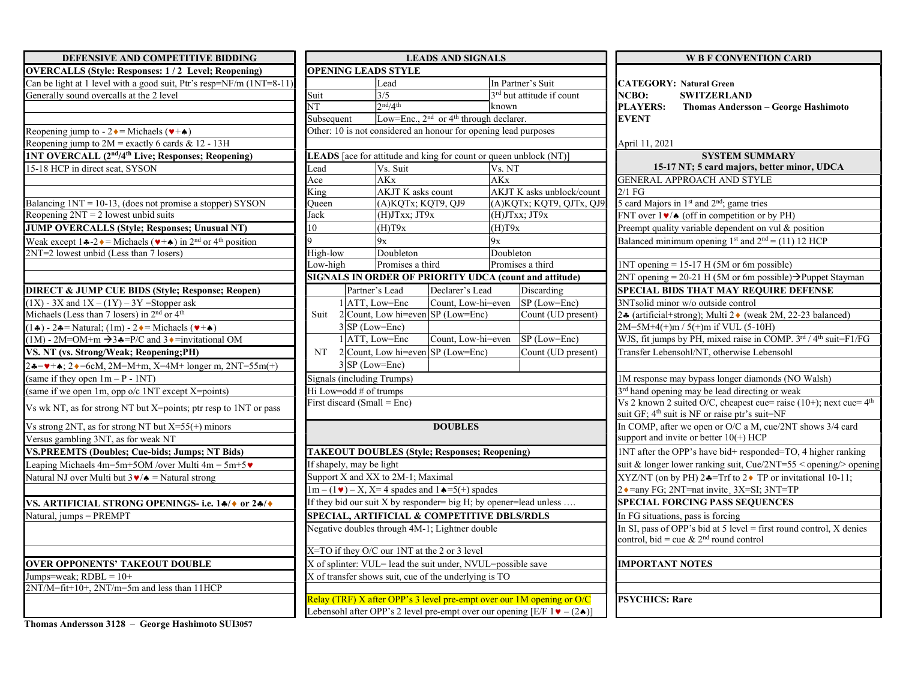| DEFENSIVE AND COMPETITIVE BIDDING                                                                                                      | <b>LEADS AND SIGNALS</b> |                                                                  |                                                                |               |                         |
|----------------------------------------------------------------------------------------------------------------------------------------|--------------------------|------------------------------------------------------------------|----------------------------------------------------------------|---------------|-------------------------|
| <b>OVERCALLS (Style: Responses: 1/2 Level; Reopening)</b>                                                                              |                          | <b>OPENING LEADS STYLE</b>                                       |                                                                |               |                         |
| Can be light at 1 level with a good suit, Ptr's resp=NF/m (1NT=8-11)                                                                   |                          | Lead                                                             |                                                                |               | In Partner's Suit       |
| Generally sound overcalls at the 2 level                                                                                               | Suit                     | $\overline{\frac{3}{5}}$                                         |                                                                |               | 3rd but attitude if     |
|                                                                                                                                        | NT                       | 2 <sup>nd</sup> /4 <sup>th</sup>                                 |                                                                | known         |                         |
|                                                                                                                                        | Subsequent               |                                                                  | Low=Enc., 2 <sup>nd</sup> or 4 <sup>th</sup> through declarer. |               |                         |
| Reopening jump to - $2 \cdot =$ Michaels ( $\cdot + \cdot$ )                                                                           |                          | Other: 10 is not considered an honour for opening lead purposes  |                                                                |               |                         |
| Reopening jump to $2M$ = exactly 6 cards & 12 - 13H                                                                                    |                          |                                                                  |                                                                |               |                         |
| 1NT OVERCALL (2 <sup>nd/4th</sup> Live; Responses; Reopening)                                                                          |                          | LEADS [ace for attitude and king for count or queen unblock (N   |                                                                |               |                         |
| 15-18 HCP in direct seat, SYSON                                                                                                        | Lead                     | Vs. Suit                                                         |                                                                | Vs. NT        |                         |
|                                                                                                                                        | Ace                      | <b>AKx</b>                                                       |                                                                | <b>AKx</b>    |                         |
|                                                                                                                                        | King                     | <b>AKJT K</b> asks count                                         |                                                                |               | <b>AKJT K</b> asks unb  |
| Balancing 1NT = 10-13, (does not promise a stopper) SYSON                                                                              | Oueen                    | (A)KQTx; KQT9, QJ9                                               |                                                                | (A)KQTx; KQT9 |                         |
| Reopening $2NT = 2$ lowest unbid suits                                                                                                 | Jack                     | (H)JTxx; JT9x                                                    |                                                                |               | $(H)$ J $Txx$ ; J $T9x$ |
| JUMP OVERCALLS (Style; Responses; Unusual NT)                                                                                          | 10                       | (H)T9x                                                           |                                                                | (H)T9x        |                         |
| Weak except $1 \cdot 2 \cdot 2 =$ Michaels ( $\blacktriangleright$ + $\blacktriangle$ ) in 2 <sup>nd</sup> or 4 <sup>th</sup> position | q                        | 9x                                                               |                                                                | 9x            |                         |
| 2NT=2 lowest unbid (Less than 7 losers)                                                                                                | High-low                 | Doubleton                                                        |                                                                | Doubleton     |                         |
|                                                                                                                                        | Low-high                 | Promises a third                                                 |                                                                |               | Promises a third        |
|                                                                                                                                        |                          | <b>SIGNALS IN ORDER OF PRIORITY UDCA (count and att)</b>         |                                                                |               |                         |
| <b>DIRECT &amp; JUMP CUE BIDS (Style; Response; Reopen)</b>                                                                            |                          | Partner's Lead                                                   | Declarer's Lead                                                |               | Discardin               |
| $(1X)$ - 3X and $1X - (1Y) - 3Y$ =Stopper ask                                                                                          |                          | 1 ATT, Low=Enc                                                   | Count, Low-hi=even                                             |               | SP (Low-                |
| Michaels (Less than 7 losers) in 2 <sup>nd</sup> or 4 <sup>th</sup>                                                                    | Suit                     | $2$ Count, Low hi=even SP (Low=Enc)                              |                                                                |               | Count (U                |
| $(1\clubsuit) - 2\clubsuit$ = Natural; $(1m) - 2\spadesuit$ = Michaels ( $\ntriangleright$ + $\spadesuit$ )                            |                          | $3$ SP (Low=Enc)                                                 |                                                                |               |                         |
| $(1M)$ - 2M=OM+m $\rightarrow$ 3 $\clubsuit$ =P/C and 3 $\bullet$ =invitational OM                                                     |                          | $1$  ATT, Low=Enc                                                | Count, Low-hi=even                                             |               | SP <sub>(Low-</sub>     |
| VS. NT (vs. Strong/Weak; Reopening;PH)                                                                                                 | NT                       | $2$ Count, Low hi=even SP (Low=Enc)                              |                                                                |               | Count (U                |
| $24 = 4$ + $\star$ ; $2 \cdot 5$ = 6cM, $2M = M + m$ , $X = 4M + 1$ onger m, $2NT = 55m(+)$                                            |                          | $3 SP (Low=Enc)$                                                 |                                                                |               |                         |
| (same if they open $1m - P - 1NT$ )                                                                                                    |                          | <b>Signals (including Trumps)</b>                                |                                                                |               |                         |
| (same if we open 1m, opp o/c 1NT except X=points)                                                                                      |                          | Hi Low=odd # of trumps                                           |                                                                |               |                         |
| Vs wk NT, as for strong NT but $X = points$ ; ptr resp to 1NT or pass                                                                  |                          | First discard (Small = Enc)                                      |                                                                |               |                         |
| Vs strong 2NT, as for strong NT but $X=55(+)$ minors                                                                                   |                          |                                                                  | <b>DOUBLES</b>                                                 |               |                         |
| Versus gambling 3NT, as for weak NT                                                                                                    |                          |                                                                  |                                                                |               |                         |
| <b>VS.PREEMTS (Doubles; Cue-bids; Jumps; NT Bids)</b>                                                                                  |                          | <b>TAKEOUT DOUBLES (Style; Responses; Reopening)</b>             |                                                                |               |                         |
| Leaping Michaels $4m=5m+5OM$ /over Multi $4m = 5m+5$                                                                                   |                          | If shapely, may be light                                         |                                                                |               |                         |
| Natural NJ over Multi but $3 \cdot / \cdot$ = Natural strong                                                                           |                          | Support X and XX to 2M-1; Maximal                                |                                                                |               |                         |
|                                                                                                                                        |                          | $1m - (1 \cdot ) - X$ , X=4 spades and $1 \cdot =5$ (+) spades   |                                                                |               |                         |
| VS. ARTIFICIAL STRONG OPENINGS- i.e. 14/0 or 24/0                                                                                      |                          | If they bid our suit X by responder= big H; by opener=lead unles |                                                                |               |                         |
| Natural, jumps = PREMPT                                                                                                                |                          | SPECIAL, ARTIFICIAL & COMPETITIVE DBLS/RDLS                      |                                                                |               |                         |
|                                                                                                                                        |                          | Negative doubles through 4M-1; Lightner double                   |                                                                |               |                         |
|                                                                                                                                        |                          | X=TO if they O/C our 1NT at the 2 or 3 level                     |                                                                |               |                         |
| <b>OVER OPPONENTS' TAKEOUT DOUBLE</b>                                                                                                  |                          | X of splinter: VUL= lead the suit under, NVUL=possible save      |                                                                |               |                         |
| Jumps=weak; $RDBL = 10+$                                                                                                               |                          | X of transfer shows suit, cue of the underlying is TO            |                                                                |               |                         |
| 2NT/M=fit+10+, 2NT/m=5m and less than 11HCP                                                                                            |                          |                                                                  |                                                                |               |                         |
|                                                                                                                                        |                          | Relay (TRF) X after OPP's 3 level pre-empt over our 1M openin    |                                                                |               |                         |

| DEFENSIVE AND COMPETITIVE BIDDING                                                                                                   | <b>LEADS AND SIGNALS</b>                                          |                                                      |                                                                    | <b>W B F CONVENTION CARD</b> |                                                                                                                                                               |                                                              |                                                                                                                                      |
|-------------------------------------------------------------------------------------------------------------------------------------|-------------------------------------------------------------------|------------------------------------------------------|--------------------------------------------------------------------|------------------------------|---------------------------------------------------------------------------------------------------------------------------------------------------------------|--------------------------------------------------------------|--------------------------------------------------------------------------------------------------------------------------------------|
| <b>OVERCALLS (Style: Responses: 1/2 Level; Reopening)</b>                                                                           | <b>OPENING LEADS STYLE</b>                                        |                                                      |                                                                    |                              |                                                                                                                                                               |                                                              |                                                                                                                                      |
| Can be light at 1 level with a good suit, Ptr's resp=NF/m (1NT=8-11)                                                                |                                                                   | Lead                                                 |                                                                    |                              | In Partner's Suit                                                                                                                                             |                                                              | <b>CATEGORY: Natural Green</b>                                                                                                       |
| Generally sound overcalls at the 2 level                                                                                            | Suit                                                              | $\frac{3}{5}$                                        |                                                                    |                              | 3 <sup>rd</sup> but attitude if count                                                                                                                         | NCBO:                                                        | <b>SWITZERLAND</b>                                                                                                                   |
|                                                                                                                                     | $\overline{\text{NT}}$                                            | 2 <sup>nd</sup> /4 <sup>th</sup>                     |                                                                    | known                        |                                                                                                                                                               | <b>PLAYERS:</b>                                              | Thomas Andersson - George Hashimoto                                                                                                  |
|                                                                                                                                     | Subsequent                                                        |                                                      | Low=Enc., $2^{nd}$ or $4^{th}$ through declarer.                   |                              |                                                                                                                                                               | <b>EVENT</b>                                                 |                                                                                                                                      |
| Reopening jump to - $2 \cdot =$ Michaels ( $\neg$ + $\leftrightarrow$ )                                                             |                                                                   |                                                      | Other: 10 is not considered an honour for opening lead purposes    |                              |                                                                                                                                                               |                                                              |                                                                                                                                      |
| Reopening jump to $2M$ = exactly 6 cards & 12 - 13H                                                                                 |                                                                   |                                                      |                                                                    |                              |                                                                                                                                                               | April 11, 2021                                               |                                                                                                                                      |
| 1NT OVERCALL (2 <sup>nd</sup> /4 <sup>th</sup> Live; Responses; Reopening)                                                          |                                                                   |                                                      | LEADS [ace for attitude and king for count or queen unblock (NT)]  |                              |                                                                                                                                                               |                                                              | <b>SYSTEM SUMMARY</b>                                                                                                                |
| 15-18 HCP in direct seat. SYSON                                                                                                     | Lead                                                              | Vs. Suit                                             |                                                                    | Vs. NT                       |                                                                                                                                                               |                                                              | 15-17 NT; 5 card majors, better minor, UDCA                                                                                          |
|                                                                                                                                     | Ace                                                               | <b>AKx</b>                                           |                                                                    | <b>AKx</b>                   |                                                                                                                                                               |                                                              | <b>GENERAL APPROACH AND STYLE</b>                                                                                                    |
|                                                                                                                                     | King                                                              | AKJT K asks count                                    |                                                                    |                              | AKJT K asks unblock/count                                                                                                                                     | $2/1$ FG                                                     |                                                                                                                                      |
| Balancing $1NT = 10-13$ , (does not promise a stopper) SYSON                                                                        | Oueen                                                             | $(A)KQTx;$ $\overline{KQT9, QJ9}$                    |                                                                    |                              | (A)KQTx; KQT9, QJTx, QJ9                                                                                                                                      |                                                              | 5 card Majors in 1 <sup>st</sup> and 2 <sup>nd</sup> ; game tries                                                                    |
| Reopening $2NT = 2$ lowest unbid suits                                                                                              | Jack                                                              | (H)JTxx; JT9x                                        |                                                                    | (H)JTxx; JT9x                |                                                                                                                                                               |                                                              | FNT over $1\blacktriangleright/\blacktriangle$ (off in competition or by PH)                                                         |
| <b>JUMP OVERCALLS (Style; Responses; Unusual NT)</b>                                                                                | 10                                                                | (H)T9x                                               |                                                                    | (H)T9x                       |                                                                                                                                                               |                                                              | Preempt quality variable dependent on vul $\&$ position                                                                              |
| Weak except $1 \cdot 2 \cdot 2 =$ Michaels ( $\blacktriangledown + \blacktriangle$ ) in 2 <sup>nd</sup> or 4 <sup>th</sup> position |                                                                   | 9x                                                   |                                                                    | 9x                           |                                                                                                                                                               |                                                              | Balanced minimum opening 1 <sup>st</sup> and $2nd = (11) 12$ HCP                                                                     |
| 2NT=2 lowest unbid (Less than 7 losers)                                                                                             | High-low                                                          | Doubleton                                            |                                                                    | Doubleton                    |                                                                                                                                                               |                                                              |                                                                                                                                      |
|                                                                                                                                     | Low-high                                                          | Promises a third                                     |                                                                    |                              | Promises a third                                                                                                                                              |                                                              | $1NT$ opening = 15-17 H (5M or 6m possible)                                                                                          |
|                                                                                                                                     |                                                                   |                                                      | <b>SIGNALS IN ORDER OF PRIORITY UDCA (count and attitude)</b>      |                              |                                                                                                                                                               |                                                              | $2NT$ opening = 20-21 H (5M or 6m possible) $\rightarrow$ Puppet Stayman                                                             |
| <b>DIRECT &amp; JUMP CUE BIDS (Style; Response; Reopen)</b>                                                                         |                                                                   | Partner's Lead                                       | Declarer's Lead                                                    |                              | Discarding                                                                                                                                                    |                                                              | SPECIAL BIDS THAT MAY REQUIRE DEFENSE                                                                                                |
| $(1X)$ - 3X and $1X - (1Y) - 3Y$ =Stopper ask                                                                                       |                                                                   | $1$ ATT. Low=Enc                                     |                                                                    |                              | Count, Low-hi=even SP (Low=Enc)                                                                                                                               |                                                              | 3NTsolid minor w/o outside control                                                                                                   |
| Michaels (Less than 7 losers) in 2 <sup>nd</sup> or 4 <sup>th</sup>                                                                 |                                                                   |                                                      | Suit 2 Count, Low hi=even SP (Low=Enc)                             |                              | Count (UD present)                                                                                                                                            |                                                              | 24 (artificial+strong); Multi 2 $\bullet$ (weak 2M, 22-23 balanced)                                                                  |
| $(1\clubsuit) - 2\clubsuit$ = Natural; $(1m) - 2\spadesuit$ = Michaels $(\blacktriangleright + \spadesuit)$                         |                                                                   | $3$ SP (Low=Enc)                                     |                                                                    |                              |                                                                                                                                                               |                                                              | $2M=5M+4(+)m / 5(+)m$ if VUL (5-10H)                                                                                                 |
| $(1M)$ - 2M=OM+m $\rightarrow$ 3 $\bullet$ =P/C and 3 $\bullet$ =invitational OM                                                    |                                                                   | $1$ ATT. Low=Enc                                     | Count, Low-hi=even                                                 |                              | $SP (Low=Enc)$                                                                                                                                                |                                                              | WJS, fit jumps by PH, mixed raise in COMP. 3rd / 4th suit=F1/FG                                                                      |
| VS. NT (vs. Strong/Weak; Reopening;PH)                                                                                              | NT                                                                |                                                      | $2$ Count, Low hi=even SP (Low=Enc)                                |                              | Count (UD present)                                                                                                                                            |                                                              | Transfer Lebensohl/NT, otherwise Lebensohl                                                                                           |
| $24 = 4 + 4$ ; $24 = 6$ cM, $2M = M + m$ , $X = 4M + 1$ onger m, $2NT = 55m(+)$                                                     |                                                                   | $3 SP (Low=Enc)$                                     |                                                                    |                              |                                                                                                                                                               |                                                              |                                                                                                                                      |
| (same if they open $1m - P - 1NT$ )                                                                                                 | Signals (including Trumps)                                        |                                                      |                                                                    |                              |                                                                                                                                                               |                                                              | 1M response may bypass longer diamonds (NO Walsh)                                                                                    |
| (same if we open 1m, opp o/c 1NT except X=points)                                                                                   | Hi Low=odd # of trumps                                            |                                                      |                                                                    |                              |                                                                                                                                                               |                                                              | 3 <sup>rd</sup> hand opening may be lead directing or weak                                                                           |
| Vs wk NT, as for strong NT but X=points; ptr resp to 1NT or pass                                                                    | First discard (Small = Enc)                                       |                                                      |                                                                    |                              |                                                                                                                                                               |                                                              | Vs 2 known 2 suited O/C, cheapest cue= raise $(10+)$ ; next cue= $4th$<br>suit GF; 4 <sup>th</sup> suit is NF or raise ptr's suit=NF |
| Vs strong 2NT, as for strong NT but $X=55(+)$ minors                                                                                |                                                                   |                                                      | <b>DOUBLES</b>                                                     |                              |                                                                                                                                                               |                                                              | In COMP, after we open or O/C a M, cue/2NT shows 3/4 card                                                                            |
| Versus gambling 3NT, as for weak NT                                                                                                 |                                                                   |                                                      |                                                                    |                              |                                                                                                                                                               |                                                              | support and invite or better $10(+)$ HCP                                                                                             |
| <b>VS.PREEMTS (Doubles; Cue-bids; Jumps; NT Bids)</b>                                                                               |                                                                   | <b>TAKEOUT DOUBLES (Style; Responses; Reopening)</b> |                                                                    |                              |                                                                                                                                                               | 1NT after the OPP's have bid+ responded=TO, 4 higher ranking |                                                                                                                                      |
| Leaping Michaels $4m=5m+5OM$ /over Multi $4m=5m+5$                                                                                  | If shapely, may be light                                          |                                                      |                                                                    |                              | suit & longer lower ranking suit, Cue/2NT=55 < opening/> opening                                                                                              |                                                              |                                                                                                                                      |
| Natural NJ over Multi but $3 \cdot / \cdot$ = Natural strong                                                                        | Support X and XX to 2M-1; Maximal                                 |                                                      |                                                                    |                              |                                                                                                                                                               |                                                              | XYZ/NT (on by PH) $2 \cdot \cdot = \text{Tr}f$ to $2 \cdot \text{TP}$ or invitational 10-11;                                         |
|                                                                                                                                     |                                                                   |                                                      | $1m - (1 \cdot ) - X$ , $X = 4$ spades and $1 \cdot =5$ (+) spades |                              |                                                                                                                                                               |                                                              | 2 • = any FG; 2NT=nat invite, 3X=SI; 3NT=TP                                                                                          |
| VS. ARTIFICIAL STRONG OPENINGS- i.e. 14/0 or 24/0                                                                                   | If they bid our suit X by responder= big H; by opener=lead unless |                                                      |                                                                    |                              | <b>SPECIAL FORCING PASS SEQUENCES</b>                                                                                                                         |                                                              |                                                                                                                                      |
| Natural, jumps = PREMPT                                                                                                             | SPECIAL, ARTIFICIAL & COMPETITIVE DBLS/RDLS                       |                                                      |                                                                    |                              | In FG situations, pass is forcing                                                                                                                             |                                                              |                                                                                                                                      |
|                                                                                                                                     |                                                                   |                                                      | Negative doubles through 4M-1; Lightner double                     |                              |                                                                                                                                                               |                                                              | In SI, pass of OPP's bid at 5 level = first round control, X denies<br>control, bid = cue & $2nd$ round control                      |
|                                                                                                                                     | X=TO if they O/C our 1NT at the 2 or 3 level                      |                                                      |                                                                    |                              |                                                                                                                                                               |                                                              |                                                                                                                                      |
| <b>OVER OPPONENTS' TAKEOUT DOUBLE</b>                                                                                               | X of splinter: VUL= lead the suit under, NVUL=possible save       |                                                      |                                                                    | <b>IMPORTANT NOTES</b>       |                                                                                                                                                               |                                                              |                                                                                                                                      |
| Jumps=weak; $RDBL = 10+$                                                                                                            |                                                                   |                                                      | X of transfer shows suit, cue of the underlying is TO              |                              |                                                                                                                                                               |                                                              |                                                                                                                                      |
| 2NT/M=fit+10+, 2NT/m=5m and less than 11HCP                                                                                         |                                                                   |                                                      |                                                                    |                              |                                                                                                                                                               |                                                              |                                                                                                                                      |
|                                                                                                                                     |                                                                   |                                                      |                                                                    |                              | Relay (TRF) X after OPP's 3 level pre-empt over our 1M opening or O/C<br>Lebensohl after OPP's 2 level pre-empt over our opening [E/F $1 \cdot (-2 \cdot )$ ] | <b>PSYCHICS: Rare</b>                                        |                                                                                                                                      |

| <b>LEADS AND SIGNALS</b>                     |                                                  |                          |                                                                        | <b>W B F CONVENTION CARD</b>                                                                                                      |  |  |
|----------------------------------------------|--------------------------------------------------|--------------------------|------------------------------------------------------------------------|-----------------------------------------------------------------------------------------------------------------------------------|--|--|
| <b>S STYLE</b>                               |                                                  |                          |                                                                        |                                                                                                                                   |  |  |
| ead                                          |                                                  |                          | In Partner's Suit                                                      | <b>CATEGORY: Natural Green</b>                                                                                                    |  |  |
| $\sqrt{5}$                                   |                                                  |                          | 3 <sup>rd</sup> but attitude if count                                  | NCBO:<br><b>SWITZERLAND</b>                                                                                                       |  |  |
| nd/4 <sup>th</sup>                           |                                                  | known                    |                                                                        | <b>PLAYERS:</b><br>Thomas Andersson - George Hashimoto                                                                            |  |  |
| ow=Enc., $2nd$ or $4th$ through declarer.    |                                                  |                          |                                                                        | <b>EVENT</b>                                                                                                                      |  |  |
|                                              | isidered an honour for opening lead purposes     |                          |                                                                        |                                                                                                                                   |  |  |
|                                              |                                                  |                          |                                                                        | April 11, 2021                                                                                                                    |  |  |
|                                              | titude and king for count or queen unblock (NT)] |                          |                                                                        | <b>SYSTEM SUMMARY</b>                                                                                                             |  |  |
| 's. Suit                                     |                                                  | Vs. NT                   |                                                                        | 15-17 NT; 5 card majors, better minor, UDCA                                                                                       |  |  |
| Kx                                           |                                                  | AKx                      |                                                                        | GENERAL APPROACH AND STYLE                                                                                                        |  |  |
| KJT K asks count                             |                                                  |                          | AKJT K asks unblock/count                                              | $2/1$ FG                                                                                                                          |  |  |
| A)KQTx; KQT9, QJ9                            |                                                  | (A)KQTx; KQT9, QJTx, QJ9 |                                                                        | 5 card Majors in 1 <sup>st</sup> and 2 <sup>nd</sup> ; game tries                                                                 |  |  |
| $H$ ) $JTxx$ ; $JT9x$                        |                                                  |                          | (H)JTxx; JT9x                                                          | FNT over $1\blacktriangleright/\blacktriangle$ (off in competition or by PH)                                                      |  |  |
| Н)Т9х                                        |                                                  | (H)T9x                   |                                                                        | Preempt quality variable dependent on vul & position                                                                              |  |  |
| X                                            |                                                  | 9x                       |                                                                        | Balanced minimum opening 1 <sup>st</sup> and $2nd = (11) 12$ HCP                                                                  |  |  |
| oubleton                                     | Doubleton                                        |                          |                                                                        |                                                                                                                                   |  |  |
| romises a third                              |                                                  |                          | Promises a third                                                       | $1NT$ opening = 15-17 H (5M or 6m possible)                                                                                       |  |  |
|                                              | DER OF PRIORITY UDCA (count and attitude)        |                          |                                                                        | $2NT$ opening = 20-21 H (5M or 6m possible) $\rightarrow$ Puppet Stayman                                                          |  |  |
| Lead                                         | Declarer's Lead                                  |                          | Discarding                                                             | SPECIAL BIDS THAT MAY REQUIRE DEFENSE                                                                                             |  |  |
| w=Enc                                        | Count, Low-hi=even                               |                          | SP (Low=Enc)                                                           | 3NTsolid minor w/o outside control                                                                                                |  |  |
| ow hi=even SP (Low=Enc)                      |                                                  | Count (UD present)       | 24 (artificial+strong); Multi 2 <sup>+</sup> (weak 2M, 22-23 balanced) |                                                                                                                                   |  |  |
| $=Enc)$                                      |                                                  |                          | $2M=5M+4(+)m / 5(+)m$ if VUL (5-10H)                                   |                                                                                                                                   |  |  |
| w=Enc                                        | Count, Low-hi=even                               |                          | SP (Low=Enc)                                                           | WJS, fit jumps by PH, mixed raise in COMP. 3rd / 4th suit=F1/FG                                                                   |  |  |
|                                              | ow hi=even SP (Low=Enc)                          |                          | Count (UD present)                                                     | Transfer Lebensohl/NT, otherwise Lebensohl                                                                                        |  |  |
| $=Enc$                                       |                                                  |                          |                                                                        |                                                                                                                                   |  |  |
| [rumps)                                      |                                                  |                          |                                                                        | 1M response may bypass longer diamonds (NO Walsh)                                                                                 |  |  |
| umps                                         |                                                  |                          |                                                                        | 3 <sup>rd</sup> hand opening may be lead directing or weak                                                                        |  |  |
| $=$ Enc)                                     |                                                  |                          |                                                                        | Vs 2 known 2 suited O/C, cheapest cue= raise (10+); next cue= $4th$<br>suit GF; 4 <sup>th</sup> suit is NF or raise ptr's suit=NF |  |  |
| <b>DOUBLES</b>                               |                                                  |                          |                                                                        | In COMP, after we open or O/C a M, cue/2NT shows 3/4 card                                                                         |  |  |
|                                              |                                                  |                          |                                                                        | support and invite or better $10(+)$ HCP                                                                                          |  |  |
|                                              | <b>BLES (Style; Responses; Reopening)</b>        |                          |                                                                        | 1NT after the OPP's have bid+ responded=TO, 4 higher ranking                                                                      |  |  |
| light                                        |                                                  |                          |                                                                        | suit & longer lower ranking suit, Cue/2NT=55 $\le$ opening/ $>$ opening                                                           |  |  |
| to 2M-1; Maximal                             |                                                  |                          |                                                                        | XYZ/NT (on by PH) $2 \div T$ The $2 \div T$ P or invitational 10-11;                                                              |  |  |
|                                              | 4 spades and $1 \triangle = 5(+)$ spades         |                          |                                                                        | 2 • = any FG; 2NT = nat invite, 3X = SI; 3NT = TP                                                                                 |  |  |
| X by responder= big H; by opener=lead unless |                                                  |                          | <b>SPECIAL FORCING PASS SEQUENCES</b>                                  |                                                                                                                                   |  |  |
| <b>ICIAL &amp; COMPETITIVE DBLS/RDLS</b>     |                                                  |                          |                                                                        | In FG situations, pass is forcing                                                                                                 |  |  |
| irough 4M-1; Lightner double                 |                                                  |                          | In SI, pass of OPP's bid at 5 level = first round control, $X$ denies  |                                                                                                                                   |  |  |
|                                              |                                                  |                          |                                                                        | control, bid = cue & $2nd$ round control                                                                                          |  |  |
| our 1NT at the 2 or 3 level                  |                                                  |                          |                                                                        |                                                                                                                                   |  |  |
| = lead the suit under, NVUL=possible save    |                                                  |                          |                                                                        | <b>IMPORTANT NOTES</b>                                                                                                            |  |  |
| suit, cue of the underlying is TO            |                                                  |                          |                                                                        |                                                                                                                                   |  |  |
|                                              |                                                  |                          |                                                                        |                                                                                                                                   |  |  |
|                                              |                                                  |                          | r OPP's 3 level pre-empt over our 1M opening or O/C                    | <b>PSYCHICS: Rare</b>                                                                                                             |  |  |
|                                              |                                                  |                          | P's 2 level pre-empt over our opening [E/F $1 \cdot (-2 \cdot )$ ]     |                                                                                                                                   |  |  |

Thomas Andersson 3128 – George Hashimoto SUI3057